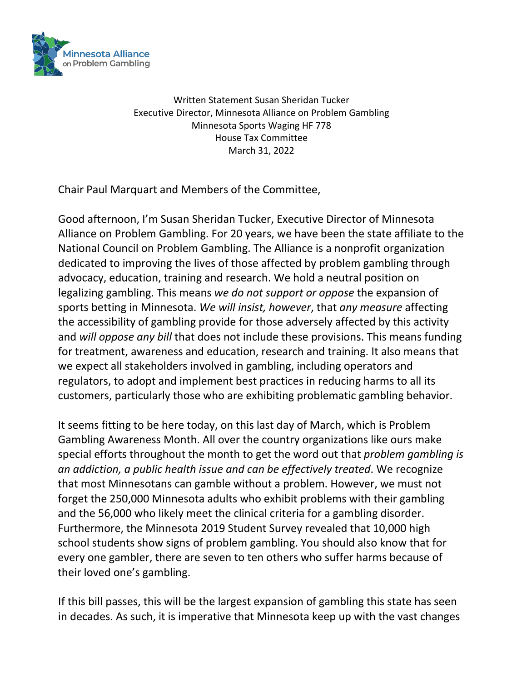

Written Statement Susan Sheridan Tucker Executive Director, Minnesota Alliance on Problem Gambling Minnesota Sports Waging HF 778 House Tax Committee March 31, 2022

Chair Paul Marquart and Members of the Committee,

Good afternoon, I'm Susan Sheridan Tucker, Executive Director of Minnesota Alliance on Problem Gambling. For 20 years, we have been the state affiliate to the National Council on Problem Gambling. The Alliance is a nonprofit organization dedicated to improving the lives of those affected by problem gambling through advocacy, education, training and research. We hold a neutral position on legalizing gambling. This means *we do not support or oppose* the expansion of sports betting in Minnesota. *We will insist, however*, that *any measure* affecting the accessibility of gambling provide for those adversely affected by this activity and *will oppose any bill* that does not include these provisions. This means funding for treatment, awareness and education, research and training. It also means that we expect all stakeholders involved in gambling, including operators and regulators, to adopt and implement best practices in reducing harms to all its customers, particularly those who are exhibiting problematic gambling behavior.

It seems fitting to be here today, on this last day of March, which is Problem Gambling Awareness Month. All over the country organizations like ours make special efforts throughout the month to get the word out that *problem gambling is an addiction, a public health issue and can be effectively treated*. We recognize that most Minnesotans can gamble without a problem. However, we must not forget the 250,000 Minnesota adults who exhibit problems with their gambling and the 56,000 who likely meet the clinical criteria for a gambling disorder. Furthermore, the Minnesota 2019 Student Survey revealed that 10,000 high school students show signs of problem gambling. You should also know that for every one gambler, there are seven to ten others who suffer harms because of their loved one's gambling.

If this bill passes, this will be the largest expansion of gambling this state has seen in decades. As such, it is imperative that Minnesota keep up with the vast changes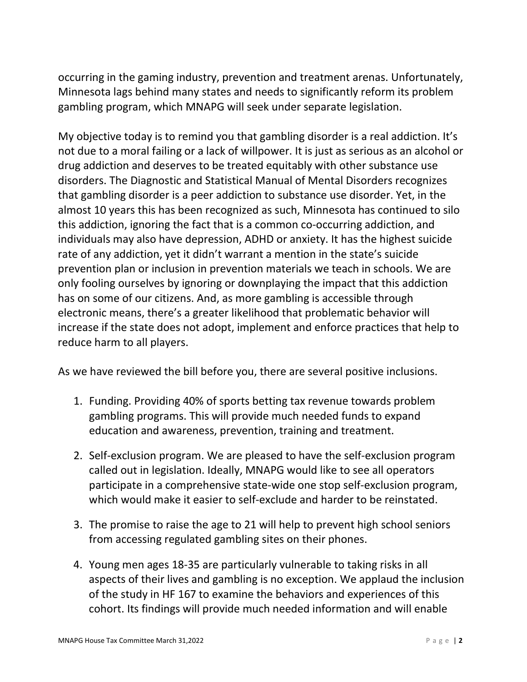occurring in the gaming industry, prevention and treatment arenas. Unfortunately, Minnesota lags behind many states and needs to significantly reform its problem gambling program, which MNAPG will seek under separate legislation.

My objective today is to remind you that gambling disorder is a real addiction. It's not due to a moral failing or a lack of willpower. It is just as serious as an alcohol or drug addiction and deserves to be treated equitably with other substance use disorders. The Diagnostic and Statistical Manual of Mental Disorders recognizes that gambling disorder is a peer addiction to substance use disorder. Yet, in the almost 10 years this has been recognized as such, Minnesota has continued to silo this addiction, ignoring the fact that is a common co-occurring addiction, and individuals may also have depression, ADHD or anxiety. It has the highest suicide rate of any addiction, yet it didn't warrant a mention in the state's suicide prevention plan or inclusion in prevention materials we teach in schools. We are only fooling ourselves by ignoring or downplaying the impact that this addiction has on some of our citizens. And, as more gambling is accessible through electronic means, there's a greater likelihood that problematic behavior will increase if the state does not adopt, implement and enforce practices that help to reduce harm to all players.

As we have reviewed the bill before you, there are several positive inclusions.

- 1. Funding. Providing 40% of sports betting tax revenue towards problem gambling programs. This will provide much needed funds to expand education and awareness, prevention, training and treatment.
- 2. Self-exclusion program. We are pleased to have the self-exclusion program called out in legislation. Ideally, MNAPG would like to see all operators participate in a comprehensive state-wide one stop self-exclusion program, which would make it easier to self-exclude and harder to be reinstated.
- 3. The promise to raise the age to 21 will help to prevent high school seniors from accessing regulated gambling sites on their phones.
- 4. Young men ages 18-35 are particularly vulnerable to taking risks in all aspects of their lives and gambling is no exception. We applaud the inclusion of the study in HF 167 to examine the behaviors and experiences of this cohort. Its findings will provide much needed information and will enable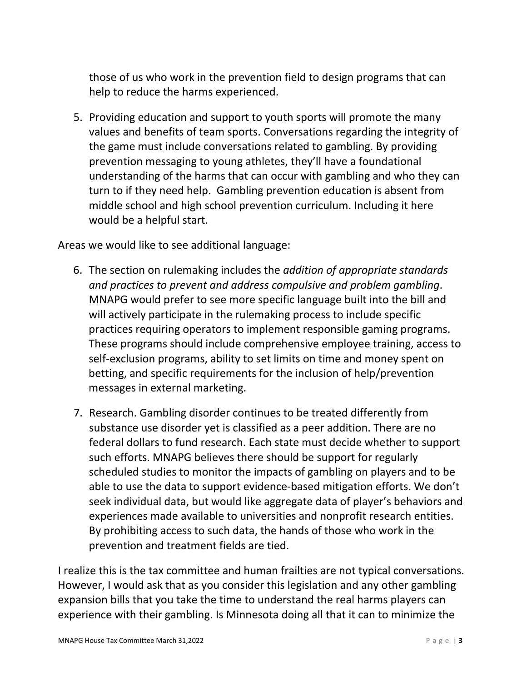those of us who work in the prevention field to design programs that can help to reduce the harms experienced.

5. Providing education and support to youth sports will promote the many values and benefits of team sports. Conversations regarding the integrity of the game must include conversations related to gambling. By providing prevention messaging to young athletes, they'll have a foundational understanding of the harms that can occur with gambling and who they can turn to if they need help. Gambling prevention education is absent from middle school and high school prevention curriculum. Including it here would be a helpful start.

Areas we would like to see additional language:

- 6. The section on rulemaking includes the *addition of appropriate standards and practices to prevent and address compulsive and problem gambling*. MNAPG would prefer to see more specific language built into the bill and will actively participate in the rulemaking process to include specific practices requiring operators to implement responsible gaming programs. These programs should include comprehensive employee training, access to self-exclusion programs, ability to set limits on time and money spent on betting, and specific requirements for the inclusion of help/prevention messages in external marketing.
- 7. Research. Gambling disorder continues to be treated differently from substance use disorder yet is classified as a peer addition. There are no federal dollars to fund research. Each state must decide whether to support such efforts. MNAPG believes there should be support for regularly scheduled studies to monitor the impacts of gambling on players and to be able to use the data to support evidence-based mitigation efforts. We don't seek individual data, but would like aggregate data of player's behaviors and experiences made available to universities and nonprofit research entities. By prohibiting access to such data, the hands of those who work in the prevention and treatment fields are tied.

I realize this is the tax committee and human frailties are not typical conversations. However, I would ask that as you consider this legislation and any other gambling expansion bills that you take the time to understand the real harms players can experience with their gambling. Is Minnesota doing all that it can to minimize the